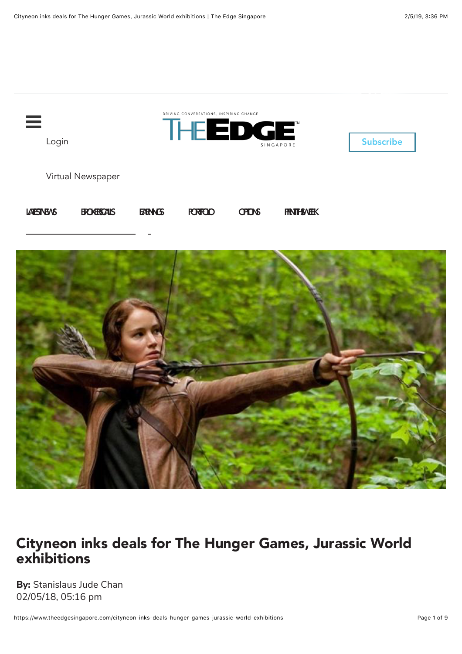



## Cityneon inks deals for The Hunger Games, Jurassic World exhibitions

**By:** Stanislaus Jude Chan 02/05/18, 05:16 pm

https://www.theedgesingapore.com/cityneon-inks-deals-hunger-games-jurassic-world-exhibitions Page 1 of 9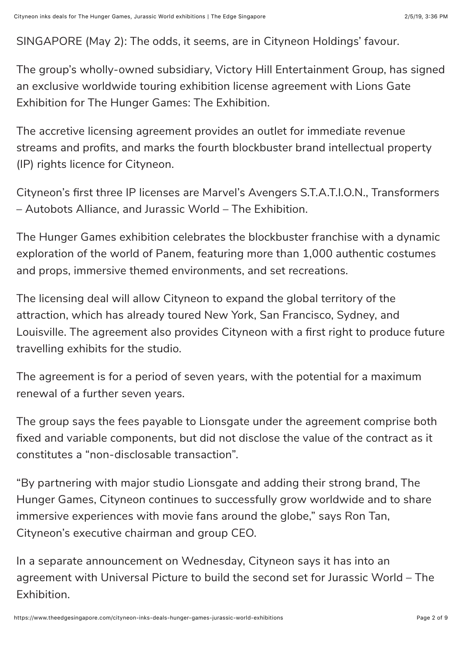SINGAPORE (May 2): The odds, it seems, are in Cityneon Holdings' favour.

The group's wholly-owned subsidiary, Victory Hill Entertainment Group, has signed an exclusive worldwide touring exhibition license agreement with Lions Gate Exhibition for The Hunger Games: The Exhibition.

The accretive licensing agreement provides an outlet for immediate revenue streams and profits, and marks the fourth blockbuster brand intellectual property (IP) rights licence for Cityneon.

Cityneon's first three IP licenses are Marvel's Avengers S.T.A.T.I.O.N., Transformers – Autobots Alliance, and Jurassic World – The Exhibition.

The Hunger Games exhibition celebrates the blockbuster franchise with a dynamic exploration of the world of Panem, featuring more than 1,000 authentic costumes and props, immersive themed environments, and set recreations.

The licensing deal will allow Cityneon to expand the global territory of the attraction, which has already toured New York, San Francisco, Sydney, and Louisville. The agreement also provides Cityneon with a first right to produce future travelling exhibits for the studio.

The agreement is for a period of seven years, with the potential for a maximum renewal of a further seven years.

The group says the fees payable to Lionsgate under the agreement comprise both fixed and variable components, but did not disclose the value of the contract as it constitutes a "non-disclosable transaction".

"By partnering with major studio Lionsgate and adding their strong brand, The Hunger Games, Cityneon continues to successfully grow worldwide and to share immersive experiences with movie fans around the globe," says Ron Tan, Cityneon's executive chairman and group CEO.

In a separate announcement on Wednesday, Cityneon says it has into an agreement with Universal Picture to build the second set for Jurassic World – The Exhibition.